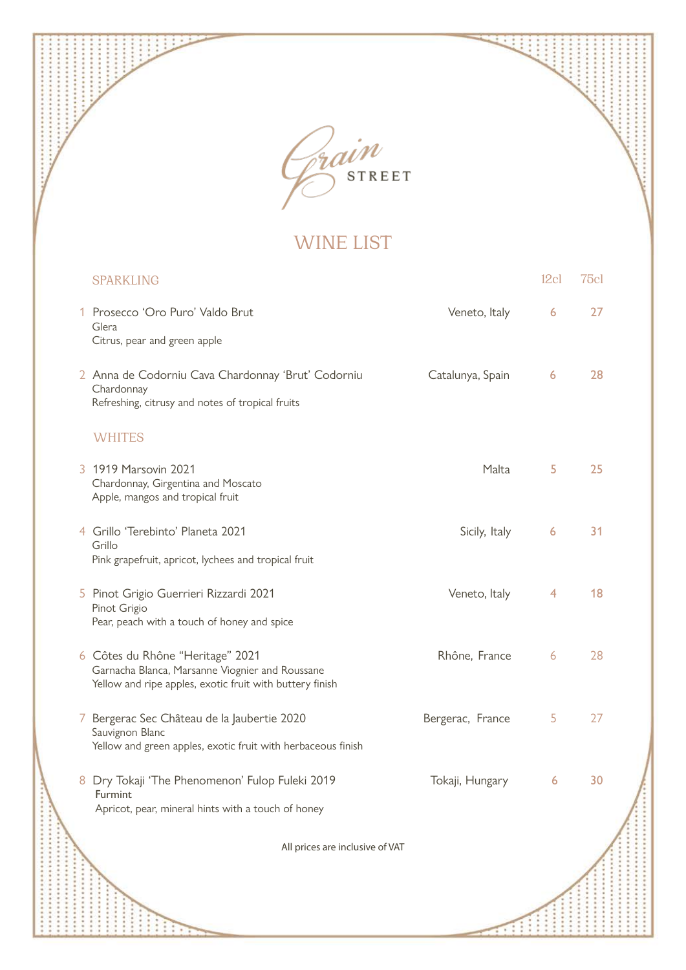

÷ ÷

ŧ  $\ddot{\cdot}$ ......  $\ddot{\phantom{0}}$ ....... ....... .......

..........

...................

担 ÷

 $\vdots$ 

WINE LIST

| <b>SPARKLING</b>                                                                                                                                |                  | 12c            | 75cl |  |
|-------------------------------------------------------------------------------------------------------------------------------------------------|------------------|----------------|------|--|
| 1 Prosecco 'Oro Puro' Valdo Brut<br>Glera<br>Citrus, pear and green apple                                                                       | Veneto, Italy    | 6              | 27   |  |
| 2 Anna de Codorniu Cava Chardonnay 'Brut' Codorniu<br>Chardonnay<br>Refreshing, citrusy and notes of tropical fruits                            | Catalunya, Spain | 6              | 28   |  |
| <b>WHITES</b>                                                                                                                                   |                  |                |      |  |
| 3 1919 Marsovin 2021<br>Chardonnay, Girgentina and Moscato<br>Apple, mangos and tropical fruit                                                  | Malta            | 5              | 25   |  |
| 4 Grillo 'Terebinto' Planeta 2021<br>Grillo<br>Pink grapefruit, apricot, lychees and tropical fruit                                             | Sicily, Italy    | $\overline{6}$ | 31   |  |
| 5 Pinot Grigio Guerrieri Rizzardi 2021<br>Pinot Grigio<br>Pear, peach with a touch of honey and spice                                           | Veneto, Italy    | 4              | 18   |  |
| 6 Côtes du Rhône "Heritage" 2021<br>Garnacha Blanca, Marsanne Viognier and Roussane<br>Yellow and ripe apples, exotic fruit with buttery finish | Rhône, France    | 6              | 28   |  |
| 7 Bergerac Sec Château de la Jaubertie 2020<br>Sauvignon Blanc<br>Yellow and green apples, exotic fruit with herbaceous finish                  | Bergerac, France | 5              | 27   |  |
| 8 Dry Tokaji 'The Phenomenon' Fulop Fuleki 2019<br>Furmint<br>Apricot, pear, mineral hints with a touch of honey                                | Tokaji, Hungary  | 6              | 30   |  |
| All prices are inclusive of VAT                                                                                                                 |                  |                |      |  |
|                                                                                                                                                 |                  |                |      |  |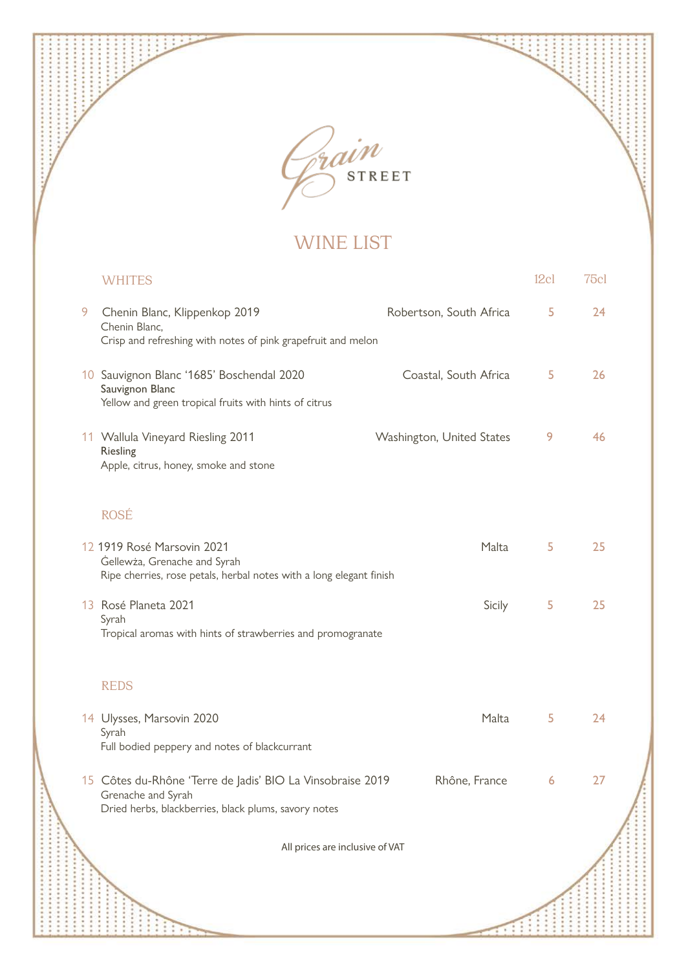

÷ ÷

ŧ  $\ddot{\cdot}$ ...... ....... ....... .......

...........

...................

担 ÷

 $\vdots$ 

## WINE LIST

|   | <b>WHITES</b>                                                                                                                            |                           | 12c1           | 75cl |  |
|---|------------------------------------------------------------------------------------------------------------------------------------------|---------------------------|----------------|------|--|
| 9 | Chenin Blanc, Klippenkop 2019<br>Chenin Blanc,<br>Crisp and refreshing with notes of pink grapefruit and melon                           | Robertson, South Africa   | 5              | 24   |  |
|   | 10 Sauvignon Blanc '1685' Boschendal 2020<br>Sauvignon Blanc<br>Yellow and green tropical fruits with hints of citrus                    | Coastal, South Africa     | 5              | 26   |  |
|   | 11 Wallula Vineyard Riesling 2011<br>Riesling<br>Apple, citrus, honey, smoke and stone                                                   | Washington, United States | 9              | 46   |  |
|   | <b>ROSÉ</b>                                                                                                                              |                           |                |      |  |
|   | 12 1919 Rosé Marsovin 2021<br>Gellewża, Grenache and Syrah<br>Ripe cherries, rose petals, herbal notes with a long elegant finish        | Malta                     | 5              | 25   |  |
|   | 13 Rosé Planeta 2021<br>Syrah<br>Tropical aromas with hints of strawberries and promogranate                                             | Sicily                    | 5              | 25   |  |
|   | <b>REDS</b>                                                                                                                              |                           |                |      |  |
|   | 14 Ulysses, Marsovin 2020<br>Syrah<br>Full bodied peppery and notes of blackcurrant                                                      | Malta                     | 5              | 24   |  |
|   | 15 Côtes du-Rhône 'Terre de Jadis' BIO La Vinsobraise 2019<br>Grenache and Syrah<br>Dried herbs, blackberries, black plums, savory notes | Rhône, France             | $\overline{6}$ | 27   |  |
|   | All prices are inclusive of VAT                                                                                                          |                           |                |      |  |
|   |                                                                                                                                          |                           |                |      |  |